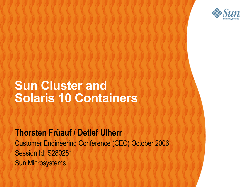

### **Sun Cluster and Solaris 10 Containers**

100000000000000000000000

000000000000000000

**Thorsten Früauf / Detlef Ulherr** Customer Engineering Conference (CEC) October 2006 Session Id: S280251  $(1)(1)$ Sun Microsystems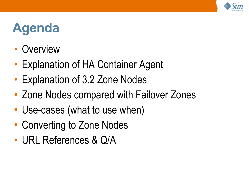

### **Agenda**

- **Overview**
- Explanation of HA Container Agent
- Explanation of 3.2 Zone Nodes
- Zone Nodes compared with Failover Zones
- Use-cases (what to use when)
- Converting to Zone Nodes
- URL References & Q/A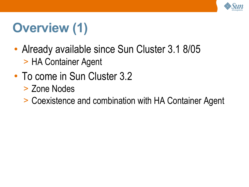

## **Overview (1)**

- Already available since Sun Cluster 3.1 8/05 > HA Container Agent
- To come in Sun Cluster 3.2
	- > Zone Nodes
	- > Coexistence and combination with HA Container Agent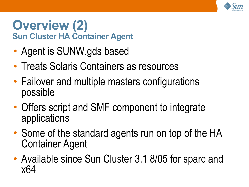

### **Overview (2) Sun Cluster HA Container Agent**

- Agent is SUNW gds based
- Treats Solaris Containers as resources
- Failover and multiple masters configurations possible
- Offers script and SMF component to integrate applications
- Some of the standard agents run on top of the HA Container Agent
- Available since Sun Cluster 3.1 8/05 for sparc and x64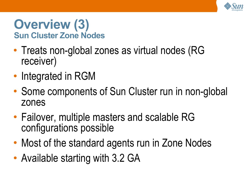

### **Overview (3) Sun Cluster Zone Nodes**

- Treats non-global zones as virtual nodes (RG receiver)
- Integrated in RGM
- Some components of Sun Cluster run in non-global zones
- Failover, multiple masters and scalable RG configurations possible
- Most of the standard agents run in Zone Nodes
- Available starting with 3.2 GA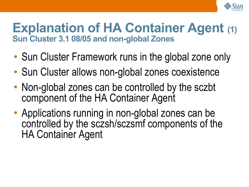

### **Explanation of HA Container Agent (1) Sun Cluster 3.1 08/05 and non-global Zones**

- Sun Cluster Framework runs in the global zone only
- Sun Cluster allows non-global zones coexistence
- Non-global zones can be controlled by the sczbt component of the HA Container Agent
- Applications running in non-global zones can be controlled by the sczsh/sczsmf components of the HA Container Agent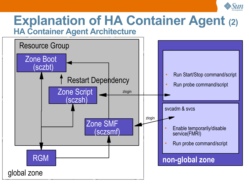

### **Explanation of HA Container Agent (2) HA Container Agent Architecture**

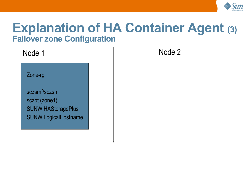

### **Explanation of HA Container Agent (3) Failover zone Configuration**

Zone-rg

sczsmf/sczsh sczbt (zone1) SUNW.HAStoragePlus SUNW.LogicalHostname

Node 1 Node 2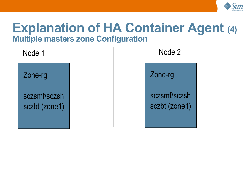

### **Explanation of HA Container Agent (4) Multiple masters zone Configuration**

Node 1 Node 2

Zone-rg

sczsmf/sczsh sczbt (zone1)

Zone-rg

sczsmf/sczsh sczbt (zone1)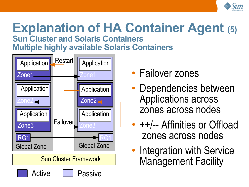

### **Explanation of HA Container Agent (5) Sun Cluster and Solaris Containers**

**Multiple highly available Solaris Containers**



- Failover zones
- Dependencies between Applications across zones across nodes
- $++$  -- Affinities or Offload zones across nodes
- Integration with Service Management Facility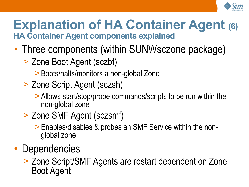

### **Explanation of HA Container Agent (6) HA Container Agent components explained**

- Three components (within SUNWsczone package)
	- > Zone Boot Agent (sczbt)
		- > Boots/halts/monitors a non-global Zone
	- > Zone Script Agent (sczsh)
		- > Allows start/stop/probe commands/scripts to be run within the non-global zone
	- > Zone SMF Agent (sczsmf)
		- > Enables/disables & probes an SMF Service within the nonglobal zone
- Dependencies
	- > Zone Script/SMF Agents are restart dependent on Zone Boot Agent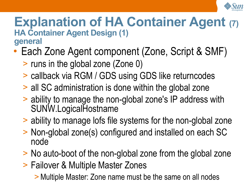

#### **Explanation of HA Container Agent (7) HA Container Agent Design (1) general**

- Each Zone Agent component (Zone, Script & SMF)
	- > runs in the global zone (Zone 0)
	- > callback via RGM / GDS using GDS like returncodes
	- > all SC administration is done within the global zone
	- > ability to manage the non-global zone's IP address with SUNW.LogicalHostname
	- > ability to manage lofs file systems for the non-global zone
	- > Non-global zone(s) configured and installed on each SC node
	- > No auto-boot of the non-global zone from the global zone
	- > Failover & Multiple Master Zones

>Multiple Master: Zone name must be the same on all nodes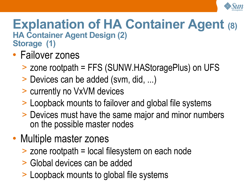

### **Explanation of HA Container Agent (8) HA Container Agent Design (2) Storage (1)**

- Failover zones
	- > zone rootpath = FFS (SUNW.HAStoragePlus) on UFS
	- > Devices can be added (svm, did, ...)
	- > currently no VxVM devices
	- > Loopback mounts to failover and global file systems
	- > Devices must have the same major and minor numbers on the possible master nodes
- Multiple master zones
	- > zone rootpath = local filesystem on each node
	- > Global devices can be added
	- > Loopback mounts to global file systems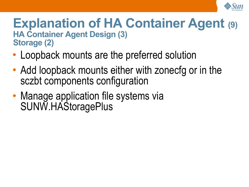

### **Explanation of HA Container Agent (9) HA Container Agent Design (3) Storage (2)**

- Loopback mounts are the preferred solution
- Add loopback mounts either with zonecfg or in the sczbt components configuration
- Manage application file systems via SUNW.HAStoragePlus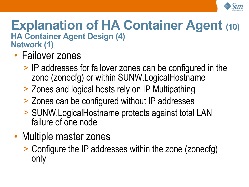

### **Explanation of HA Container Agent (10) HA Container Agent Design (4) Network (1)**

- Failover zones
	- > IP addresses for failover zones can be configured in the zone (zonecfg) or within SUNW.LogicalHostname
	- > Zones and logical hosts rely on IP Multipathing
	- > Zones can be configured without IP addresses
	- > SUNW.LogicalHostname protects against total LAN failure of one node
- Multiple master zones
	- > Configure the IP addresses within the zone (zonecfg) only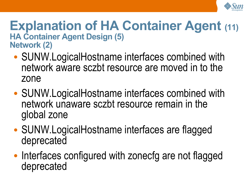

#### **Explanation of HA Container Agent (11) HA Container Agent Design (5) Network (2)**

- SUNW. Logical Hostname interfaces combined with network aware sczbt resource are moved in to the zone
- SUNW. Logical Hostname interfaces combined with network unaware sczbt resource remain in the global zone
- SUNW.LogicalHostname interfaces are flagged deprecated
- Interfaces configured with zonecfg are not flagged deprecated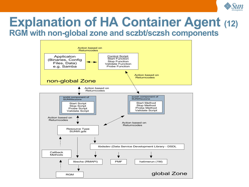

### **Explanation of HA Container Agent (12) RGM with non-global zone and sczbt/sczsh components**

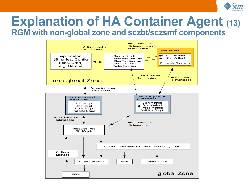

### **Explanation of HA Container Agent (13) RGM with non-global zone and sczbt/sczsmf components**

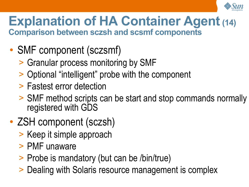

### **Explanation of HA Container Agent(14) Comparison between sczsh and scsmf components**

- SMF component (sczsmf)
	- > Granular process monitoring by SMF
	- > Optional "intelligent" probe with the component
	- > Fastest error detection
	- > SMF method scripts can be start and stop commands normally registered with GDS
- ZSH component (sczsh)
	- > Keep it simple approach
	- > PMF unaware
	- > Probe is mandatory (but can be /bin/true)
	- > Dealing with Solaris resource management is complex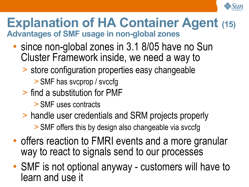

### **Explanation of HA Container Agent (15) Advantages of SMF usage in non-global zones**

- since non-global zones in 3.1 8/05 have no Sun Cluster Framework inside, we need a way to
	- > store configuration properties easy changeable
		- > SMF has svcprop / svccfg
	- > find a substitution for PMF
		- > SMF uses contracts
	- > handle user credentials and SRM projects properly
		- > SMF offers this by design also changeable via svccfg
- offers reaction to FMRI events and a more granular way to react to signals send to our processes
- SMF is not optional anyway customers will have to learn and use it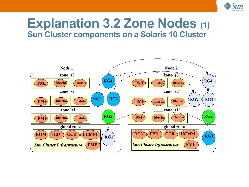

### **Explanation 3.2 Zone Nodes (1) Sun Cluster components on a Solaris 10 Cluster**

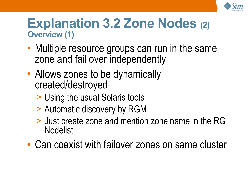

### **Explanation 3.2 Zone Nodes (2) Overview (1)**

- Multiple resource groups can run in the same zone and fail over independently
- Allows zones to be dynamically created/destroyed
	- > Using the usual Solaris tools
	- > Automatic discovery by RGM
	- > Just create zone and mention zone name in the RG Nodelist
- Can coexist with failover zones on same cluster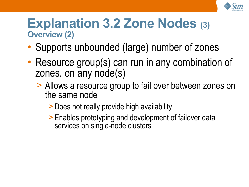

### **Explanation 3.2 Zone Nodes (3) Overview (2)**

- Supports unbounded (large) number of zones
- Resource group(s) can run in any combination of zones, on any node(s)
	- > Allows a resource group to fail over between zones on the same node
		- > Does not really provide high availability
		- > Enables prototyping and development of failover data services on single-node clusters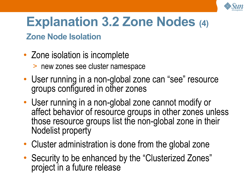

### **Explanation 3.2 Zone Nodes (4)**

#### **Zone Node Isolation**

- Zone isolation is incomplete
	- > new zones see cluster namespace
- User running in a non-global zone can "see" resource groups configured in other zones
- User running in a non-global zone cannot modify or affect behavior of resource groups in other zones unless those resource groups list the non-global zone in their Nodelist property
- Cluster administration is done from the global zone
- Security to be enhanced by the "Clusterized Zones" project in a future release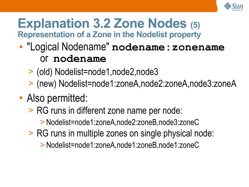

### **Explanation 3.2 Zone Nodes (5) Representation of a Zone in the Nodelist property**

- "Logical Nodename" **nodename:zonename** or **nodename**
	- > (old) Nodelist=node1,node2,node3
	- > (new) Nodelist=node1:zoneA,node2:zoneA,node3:zoneA
- Also permitted:
	- > RG runs in different zone name per node:
		- > Nodelist=node1:zoneA,node2:zoneB,node3:zoneC
	- > RG runs in multiple zones on single physical node:
		- > Nodelist=node1:zoneA,node1:zoneB,node1:zoneC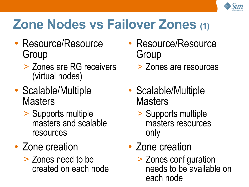

### **Zone Nodes vs Failover Zones (1)**

- Resource/Resource Group
	- > Zones are RG receivers (virtual nodes)
- Scalable/Multiple **Masters** 
	- > Supports multiple masters and scalable resources
- Zone creation
	- > Zones need to be created on each node
- Resource/Resource **Group** 
	- > Zones are resources
- Scalable/Multiple **Masters** 
	- > Supports multiple masters resources only
- Zone creation
	- > Zones configuration needs to be available on each node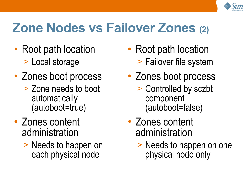

### **Zone Nodes vs Failover Zones (2)**

- Root path location > Local storage
- Zones boot process > Zone needs to boot automatically (autoboot=true)
- Zones content administration
	- > Needs to happen on each physical node
- Root path location > Failover file system
- Zones boot process
	- > Controlled by sczbt component (autoboot=false)
- Zones content administration
	- > Needs to happen on one physical node only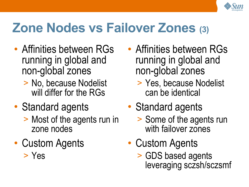

### **Zone Nodes vs Failover Zones (3)**

- Affinities between RGs running in global and non-global zones
	- > No, because Nodelist will differ for the RGs
- Standard agents
	- > Most of the agents run in zone nodes
- Custom Agents > Yes
- Affinities between RGs running in global and non-global zones
	- > Yes, because Nodelist can be identical
- Standard agents
	- > Some of the agents run with failover zones
- Custom Agents
	- > GDS based agents leveraging sczsh/sczsmf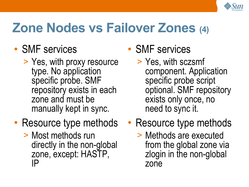

### **Zone Nodes vs Failover Zones (4)**

- SMF services
	- > Yes, with proxy resource type. No application specific probe. SMF repository exists in each zone and must be manually kept in sync.
- Resource type methods
	- > Most methods run directly in the non-global zone, except: HASTP, IP

**SMF** services

- > Yes, with sczsmf component. Application specific probe script optional. SMF repository exists only once, no need to sync it.
- Resource type methods
	- > Methods are executed from the global zone via zlogin in the non-global zone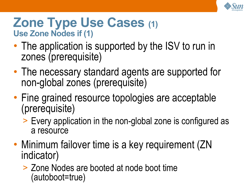

### **Zone Type Use Cases (1) Use Zone Nodes if (1)**

- The application is supported by the ISV to run in zones (prerequisite)
- The necessary standard agents are supported for non-global zones (prerequisite)
- Fine grained resource topologies are acceptable (prerequisite)
	- > Every application in the non-global zone is configured as a resource
- Minimum failover time is a key requirement (ZN indicator)
	- > Zone Nodes are booted at node boot time (autoboot=true)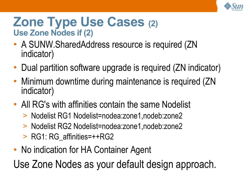

### **Zone Type Use Cases (2) Use Zone Nodes if (2)**

- A SUNW.SharedAddress resource is required (ZN indicator)
- Dual partition software upgrade is required (ZN indicator)
- Minimum downtime during maintenance is required (ZN indicator)
- All RG's with affinities contain the same Nodelist
	- > Nodelist RG1 Nodelist=nodea:zone1,nodeb:zone2
	- > Nodelist RG2 Nodelist=nodea:zone1,nodeb:zone2
	- > RG1: RG\_affinities=++RG2
- No indication for HA Container Agent

Use Zone Nodes as your default design approach.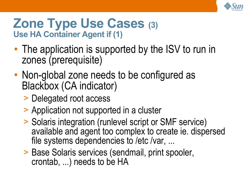

### **Zone Type Use Cases (3) Use HA Container Agent if (1)**

- The application is supported by the ISV to run in zones (prerequisite)
- Non-global zone needs to be configured as Blackbox (CA indicator)
	- > Delegated root access
	- > Application not supported in a cluster
	- > Solaris integration (runlevel script or SMF service) available and agent too complex to create ie. dispersed file systems dependencies to /etc /var, ...
	- > Base Solaris services (sendmail, print spooler, crontab, ...) needs to be HA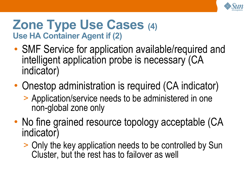

### **Zone Type Use Cases (4) Use HA Container Agent if (2)**

- SMF Service for application available/required and intelligent application probe is necessary (CA indicator)
- Onestop administration is required (CA indicator)
	- > Application/service needs to be administered in one non-global zone only
- No fine grained resource topology acceptable (CA indicator)
	- > Only the key application needs to be controlled by Sun Cluster, but the rest has to failover as well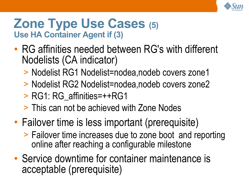

### **Zone Type Use Cases (5) Use HA Container Agent if (3)**

- RG affinities needed between RG's with different Nodelists (CA indicator)
	- > Nodelist RG1 Nodelist=nodea,nodeb covers zone1
	- > Nodelist RG2 Nodelist=nodea,nodeb covers zone2
	- > RG1: RG\_affinities=++RG1
	- > This can not be achieved with Zone Nodes
- Failover time is less important (prerequisite)
	- > Failover time increases due to zone boot and reporting online after reaching a configurable milestone
- Service downtime for container maintenance is acceptable (prerequisite)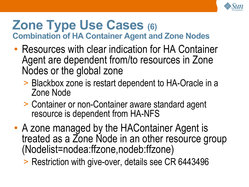

### **Zone Type Use Cases (6) Combination of HA Container Agent and Zone Nodes**

- Resources with clear indication for HA Container Agent are dependent from/to resources in Zone Nodes or the global zone
	- > Blackbox zone is restart dependent to HA-Oracle in a Zone Node
	- > Container or non-Container aware standard agent resource is dependent from HA-NFS
- A zone managed by the HAContainer Agent is treated as a Zone Node in an other resource group (Nodelist=nodea:ffzone,nodeb:ffzone)
	- > Restriction with give-over, details see CR 6443496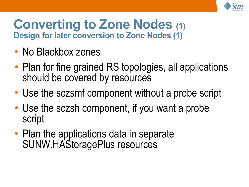

### **Converting to Zone Nodes (1) Design for later conversion to Zone Nodes (1)**

- No Blackbox zones
- Plan for fine grained RS topologies, all applications should be covered by resources
- Use the sczsmf component without a probe script
- Use the sczsh component, if you want a probe script
- Plan the applications data in separate SUNW.HAStoragePlus resources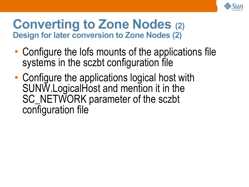

### **Converting to Zone Nodes (2) Design for later conversion to Zone Nodes (2)**

- Configure the lofs mounts of the applications file systems in the sczbt configuration file
- Configure the applications logical host with SUNW.LogicalHost and mention it in the SC\_NETWORK parameter of the sczbt configuration file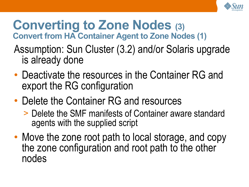

### **Converting to Zone Nodes (3) Convert from HA Container Agent to Zone Nodes (1)**

- Assumption: Sun Cluster (3.2) and/or Solaris upgrade is already done
- Deactivate the resources in the Container RG and export the RG configuration
- Delete the Container RG and resources
	- > Delete the SMF manifests of Container aware standard agents with the supplied script
- Move the zone root path to local storage, and copy the zone configuration and root path to the other nodes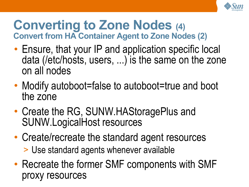

### **Converting to Zone Nodes (4) Convert from HA Container Agent to Zone Nodes (2)**

- Ensure, that your IP and application specific local data (/etc/hosts, users, ...) is the same on the zone on all nodes
- Modify autoboot=false to autoboot=true and boot the zone
- Create the RG, SUNW.HAStoragePlus and SUNW.LogicalHost resources
- Create/recreate the standard agent resources > Use standard agents whenever available
- Recreate the former SMF components with SMF proxy resources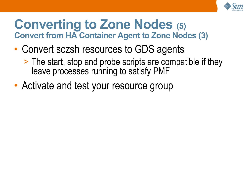

### **Converting to Zone Nodes (5) Convert from HA Container Agent to Zone Nodes (3)**

- Convert sczsh resources to GDS agents
	- > The start, stop and probe scripts are compatible if they leave processes running to satisfy PMF
- Activate and test your resource group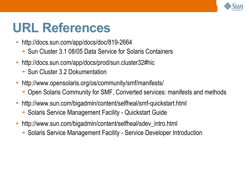

### **URL References**

- <http://docs.sun.com/app/docs/doc/819-2664>
	- ➔ Sun Cluster 3.1 08/05 Data Service for Solaris Containers
- http://docs.sun.com/app/docs/prod/sun.cluster32#hic
	- ➔ Sun Cluster 3.2 Dokumentation
- <http://www.opensolaris.org/os/community/smf/manifests/>
	- ➔ Open Solaris Community for SMF, Converted services: manifests and methods
- <http://www.sun.com/bigadmin/content/selfheal/smf-quickstart.html>
	- ➔ Solaris Service Management Facility Quickstart Guide
- [http://www.sun.com/bigadmin/content/selfheal/sdev\\_intro.html](http://www.sun.com/bigadmin/content/selfheal/sdev_intro.html)
	- ➔ Solaris Service Management Facility Service Developer Introduction